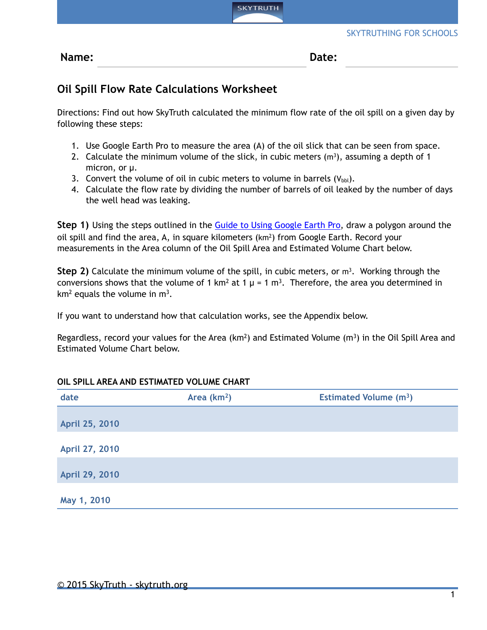

**Name: Date:** 

## **Oil Spill Flow Rate Calculations Worksheet**

Directions: Find out how SkyTruth calculated the minimum flow rate of the oil spill on a given day by following these steps:

- 1. Use Google Earth Pro to measure the area (A) of the oil slick that can be seen from space.
- 2. Calculate the minimum volume of the slick, in cubic meters  $(m<sup>3</sup>)$ , assuming a depth of 1 micron, or µ.
- 3. Convert the volume of oil in cubic meters to volume in barrels  $(V_{\text{bbl}})$ .
- 4. Calculate the flow rate by dividing the number of barrels of oil leaked by the number of days the well head was leaking.

**Step 1)** Using the steps outlined in the **Guide to Using Google Earth Pro**, draw a polygon around the oil spill and find the area, A, in square kilometers  $(km^2)$  from Google Earth. Record your measurements in the Area column of the Oil Spill Area and Estimated Volume Chart below.

**Step 2)** Calculate the minimum volume of the spill, in cubic meters, or m<sup>3</sup>. Working through the conversions shows that the volume of 1 km<sup>2</sup> at 1  $\mu$  = 1 m<sup>3</sup>. Therefore, the area you determined in  $km^2$  equals the volume in  $m^3$ .

If you want to understand how that calculation works, see the Appendix below.

Regardless, record your values for the Area ( $km^2$ ) and Estimated Volume ( $m^3$ ) in the Oil Spill Area and Estimated Volume Chart below.

## **OIL SPILL AREA AND ESTIMATED VOLUME CHART**

| date           | Area $(km2)$ | <b>Estimated Volume (m<sup>3</sup>)</b> |
|----------------|--------------|-----------------------------------------|
| April 25, 2010 |              |                                         |
| April 27, 2010 |              |                                         |
| April 29, 2010 |              |                                         |
| May 1, 2010    |              |                                         |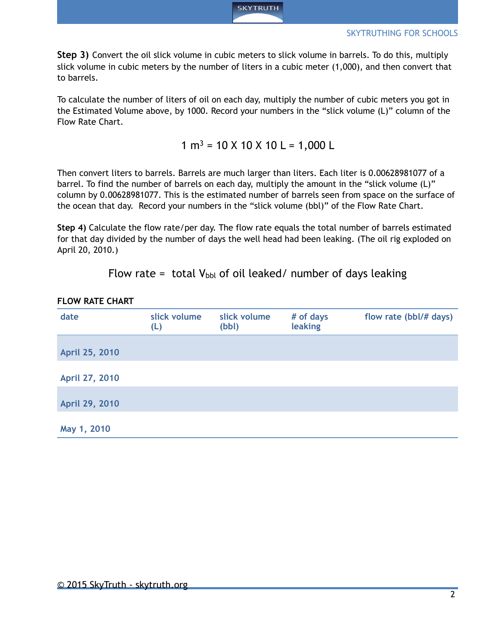

**Step 3)** Convert the oil slick volume in cubic meters to slick volume in barrels. To do this, multiply slick volume in cubic meters by the number of liters in a cubic meter (1,000), and then convert that to barrels.

To calculate the number of liters of oil on each day, multiply the number of cubic meters you got in the Estimated Volume above, by 1000. Record your numbers in the "slick volume (L)" column of the Flow Rate Chart.

 $1 m<sup>3</sup> = 10 X 10 X 10 L = 1,000 L$ 

Then convert liters to barrels. Barrels are much larger than liters. Each liter is 0.00628981077 of a barrel. To find the number of barrels on each day, multiply the amount in the "slick volume (L)" column by 0.00628981077. This is the estimated number of barrels seen from space on the surface of the ocean that day. Record your numbers in the "slick volume (bbl)" of the Flow Rate Chart.

**Step 4)** Calculate the flow rate/per day. The flow rate equals the total number of barrels estimated for that day divided by the number of days the well head had been leaking. (The oil rig exploded on April 20, 2010.)

Flow rate = total  $V_{\text{bbl}}$  of oil leaked/ number of days leaking

| date           | slick volume<br>(L) | slick volume<br>(bbl) | # of days<br>leaking | flow rate (bbl/# days) |
|----------------|---------------------|-----------------------|----------------------|------------------------|
| April 25, 2010 |                     |                       |                      |                        |
| April 27, 2010 |                     |                       |                      |                        |
| April 29, 2010 |                     |                       |                      |                        |
| May 1, 2010    |                     |                       |                      |                        |

## **FLOW RATE CHART**